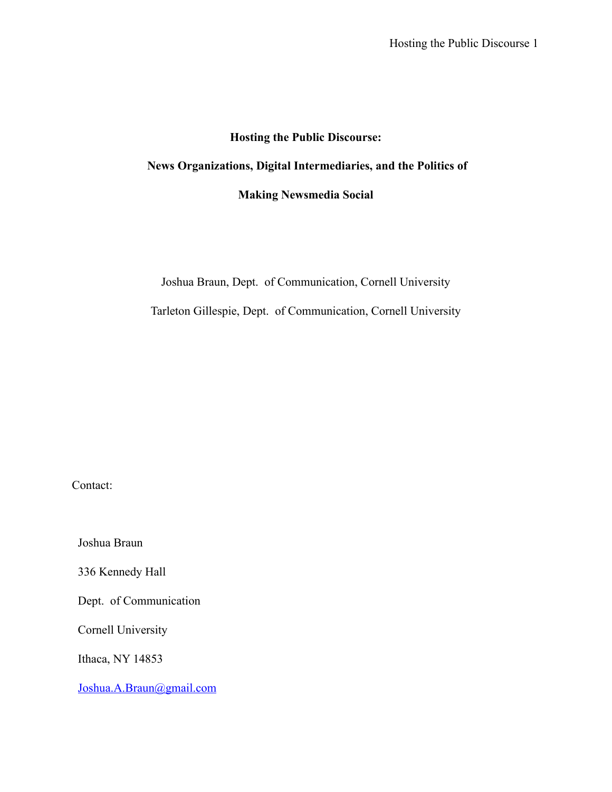# **Hosting the Public Discourse:**

# **News Organizations, Digital Intermediaries, and the Politics of**

# **Making Newsmedia Social**

Joshua Braun, Dept. of Communication, Cornell University Tarleton Gillespie, Dept. of Communication, Cornell University

Contact:

Joshua Braun

336 Kennedy Hall

Dept. of Communication

Cornell University

Ithaca, NY 14853

[Joshua.A.Braun@gmail.com](mailto:Joshua.A.Braun@gmail.com)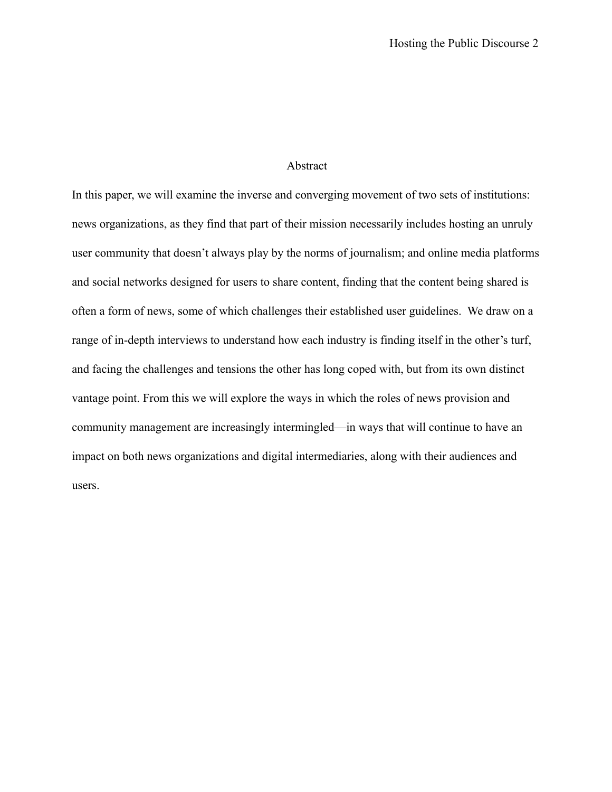## Abstract

In this paper, we will examine the inverse and converging movement of two sets of institutions: news organizations, as they find that part of their mission necessarily includes hosting an unruly user community that doesn't always play by the norms of journalism; and online media platforms and social networks designed for users to share content, finding that the content being shared is often a form of news, some of which challenges their established user guidelines. We draw on a range of in-depth interviews to understand how each industry is finding itself in the other's turf, and facing the challenges and tensions the other has long coped with, but from its own distinct vantage point. From this we will explore the ways in which the roles of news provision and community management are increasingly intermingled—in ways that will continue to have an impact on both news organizations and digital intermediaries, along with their audiences and users.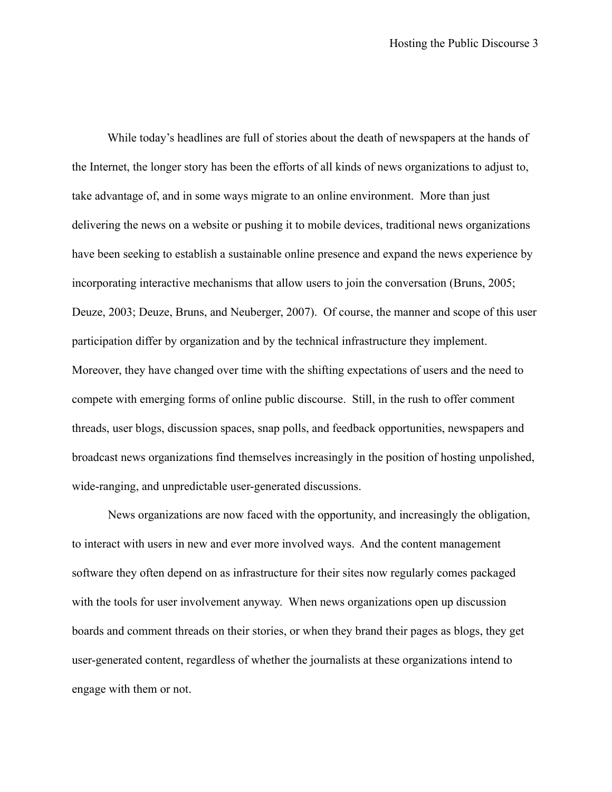While today's headlines are full of stories about the death of newspapers at the hands of the Internet, the longer story has been the efforts of all kinds of news organizations to adjust to, take advantage of, and in some ways migrate to an online environment. More than just delivering the news on a website or pushing it to mobile devices, traditional news organizations have been seeking to establish a sustainable online presence and expand the news experience by incorporating interactive mechanisms that allow users to join the conversation (Bruns, 2005; Deuze, 2003; Deuze, Bruns, and Neuberger, 2007). Of course, the manner and scope of this user participation differ by organization and by the technical infrastructure they implement. Moreover, they have changed over time with the shifting expectations of users and the need to compete with emerging forms of online public discourse. Still, in the rush to offer comment threads, user blogs, discussion spaces, snap polls, and feedback opportunities, newspapers and broadcast news organizations find themselves increasingly in the position of hosting unpolished, wide-ranging, and unpredictable user-generated discussions.

News organizations are now faced with the opportunity, and increasingly the obligation, to interact with users in new and ever more involved ways. And the content management software they often depend on as infrastructure for their sites now regularly comes packaged with the tools for user involvement anyway. When news organizations open up discussion boards and comment threads on their stories, or when they brand their pages as blogs, they get user-generated content, regardless of whether the journalists at these organizations intend to engage with them or not.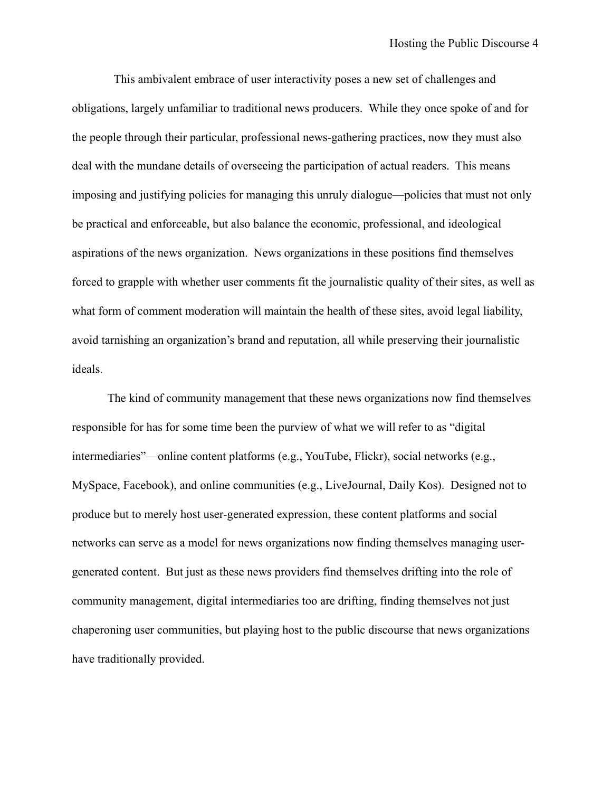This ambivalent embrace of user interactivity poses a new set of challenges and obligations, largely unfamiliar to traditional news producers. While they once spoke of and for the people through their particular, professional news-gathering practices, now they must also deal with the mundane details of overseeing the participation of actual readers. This means imposing and justifying policies for managing this unruly dialogue—policies that must not only be practical and enforceable, but also balance the economic, professional, and ideological aspirations of the news organization. News organizations in these positions find themselves forced to grapple with whether user comments fit the journalistic quality of their sites, as well as what form of comment moderation will maintain the health of these sites, avoid legal liability, avoid tarnishing an organization's brand and reputation, all while preserving their journalistic ideals.

The kind of community management that these news organizations now find themselves responsible for has for some time been the purview of what we will refer to as "digital intermediaries"—online content platforms (e.g., YouTube, Flickr), social networks (e.g., MySpace, Facebook), and online communities (e.g., LiveJournal, Daily Kos). Designed not to produce but to merely host user-generated expression, these content platforms and social networks can serve as a model for news organizations now finding themselves managing usergenerated content. But just as these news providers find themselves drifting into the role of community management, digital intermediaries too are drifting, finding themselves not just chaperoning user communities, but playing host to the public discourse that news organizations have traditionally provided.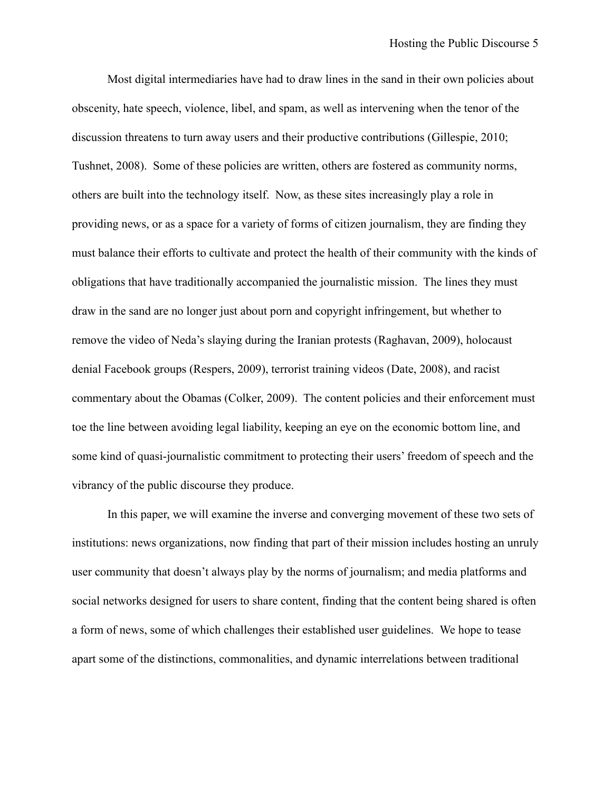Most digital intermediaries have had to draw lines in the sand in their own policies about obscenity, hate speech, violence, libel, and spam, as well as intervening when the tenor of the discussion threatens to turn away users and their productive contributions (Gillespie, 2010; Tushnet, 2008). Some of these policies are written, others are fostered as community norms, others are built into the technology itself. Now, as these sites increasingly play a role in providing news, or as a space for a variety of forms of citizen journalism, they are finding they must balance their efforts to cultivate and protect the health of their community with the kinds of obligations that have traditionally accompanied the journalistic mission. The lines they must draw in the sand are no longer just about porn and copyright infringement, but whether to remove the video of Neda's slaying during the Iranian protests (Raghavan, 2009), holocaust denial Facebook groups (Respers, 2009), terrorist training videos (Date, 2008), and racist commentary about the Obamas (Colker, 2009). The content policies and their enforcement must toe the line between avoiding legal liability, keeping an eye on the economic bottom line, and some kind of quasi-journalistic commitment to protecting their users' freedom of speech and the vibrancy of the public discourse they produce.

In this paper, we will examine the inverse and converging movement of these two sets of institutions: news organizations, now finding that part of their mission includes hosting an unruly user community that doesn't always play by the norms of journalism; and media platforms and social networks designed for users to share content, finding that the content being shared is often a form of news, some of which challenges their established user guidelines. We hope to tease apart some of the distinctions, commonalities, and dynamic interrelations between traditional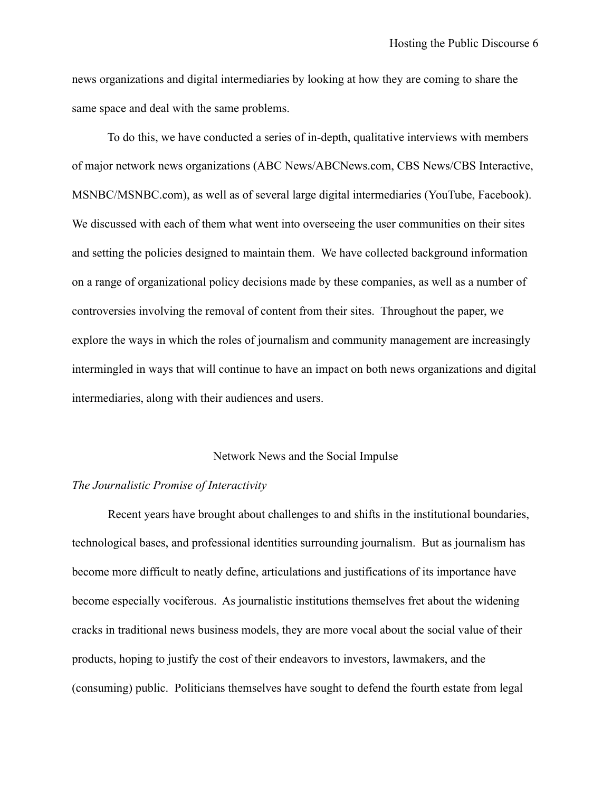news organizations and digital intermediaries by looking at how they are coming to share the same space and deal with the same problems.

To do this, we have conducted a series of in-depth, qualitative interviews with members of major network news organizations (ABC News/ABCNews.com, CBS News/CBS Interactive, MSNBC/MSNBC.com), as well as of several large digital intermediaries (YouTube, Facebook). We discussed with each of them what went into overseeing the user communities on their sites and setting the policies designed to maintain them. We have collected background information on a range of organizational policy decisions made by these companies, as well as a number of controversies involving the removal of content from their sites. Throughout the paper, we explore the ways in which the roles of journalism and community management are increasingly intermingled in ways that will continue to have an impact on both news organizations and digital intermediaries, along with their audiences and users.

#### Network News and the Social Impulse

#### *The Journalistic Promise of Interactivity*

 Recent years have brought about challenges to and shifts in the institutional boundaries, technological bases, and professional identities surrounding journalism. But as journalism has become more difficult to neatly define, articulations and justifications of its importance have become especially vociferous. As journalistic institutions themselves fret about the widening cracks in traditional news business models, they are more vocal about the social value of their products, hoping to justify the cost of their endeavors to investors, lawmakers, and the (consuming) public. Politicians themselves have sought to defend the fourth estate from legal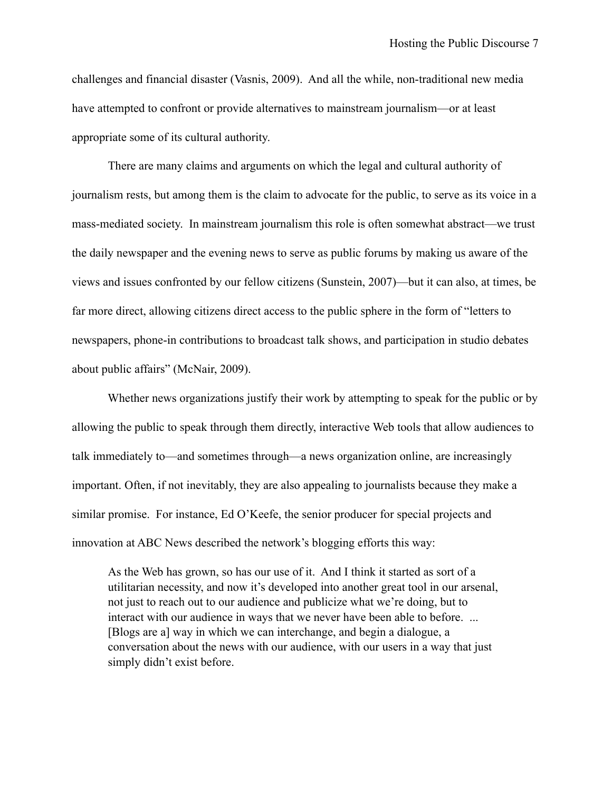challenges and financial disaster (Vasnis, 2009). And all the while, non-traditional new media have attempted to confront or provide alternatives to mainstream journalism—or at least appropriate some of its cultural authority.

There are many claims and arguments on which the legal and cultural authority of journalism rests, but among them is the claim to advocate for the public, to serve as its voice in a mass-mediated society. In mainstream journalism this role is often somewhat abstract—we trust the daily newspaper and the evening news to serve as public forums by making us aware of the views and issues confronted by our fellow citizens (Sunstein, 2007)—but it can also, at times, be far more direct, allowing citizens direct access to the public sphere in the form of "letters to newspapers, phone-in contributions to broadcast talk shows, and participation in studio debates about public affairs" (McNair, 2009).

 Whether news organizations justify their work by attempting to speak for the public or by allowing the public to speak through them directly, interactive Web tools that allow audiences to talk immediately to—and sometimes through—a news organization online, are increasingly important. Often, if not inevitably, they are also appealing to journalists because they make a similar promise. For instance, Ed O'Keefe, the senior producer for special projects and innovation at ABC News described the network's blogging efforts this way:

As the Web has grown, so has our use of it. And I think it started as sort of a utilitarian necessity, and now it's developed into another great tool in our arsenal, not just to reach out to our audience and publicize what we're doing, but to interact with our audience in ways that we never have been able to before. ... [Blogs are a] way in which we can interchange, and begin a dialogue, a conversation about the news with our audience, with our users in a way that just simply didn't exist before.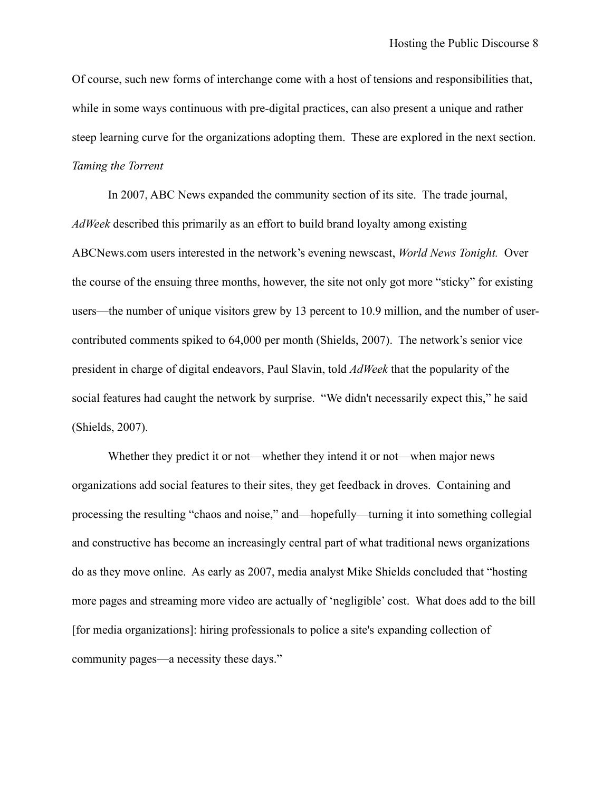Of course, such new forms of interchange come with a host of tensions and responsibilities that, while in some ways continuous with pre-digital practices, can also present a unique and rather steep learning curve for the organizations adopting them. These are explored in the next section. *Taming the Torrent*

In 2007, ABC News expanded the community section of its site. The trade journal, *AdWeek* described this primarily as an effort to build brand loyalty among existing ABCNews.com users interested in the network's evening newscast, *World News Tonight.* Over the course of the ensuing three months, however, the site not only got more "sticky" for existing users—the number of unique visitors grew by 13 percent to 10.9 million, and the number of usercontributed comments spiked to 64,000 per month (Shields, 2007). The network's senior vice president in charge of digital endeavors, Paul Slavin, told *AdWeek* that the popularity of the social features had caught the network by surprise. "We didn't necessarily expect this," he said (Shields, 2007).

Whether they predict it or not—whether they intend it or not—when major news organizations add social features to their sites, they get feedback in droves. Containing and processing the resulting "chaos and noise," and—hopefully—turning it into something collegial and constructive has become an increasingly central part of what traditional news organizations do as they move online. As early as 2007, media analyst Mike Shields concluded that "hosting more pages and streaming more video are actually of 'negligible' cost. What does add to the bill [for media organizations]: hiring professionals to police a site's expanding collection of community pages—a necessity these days."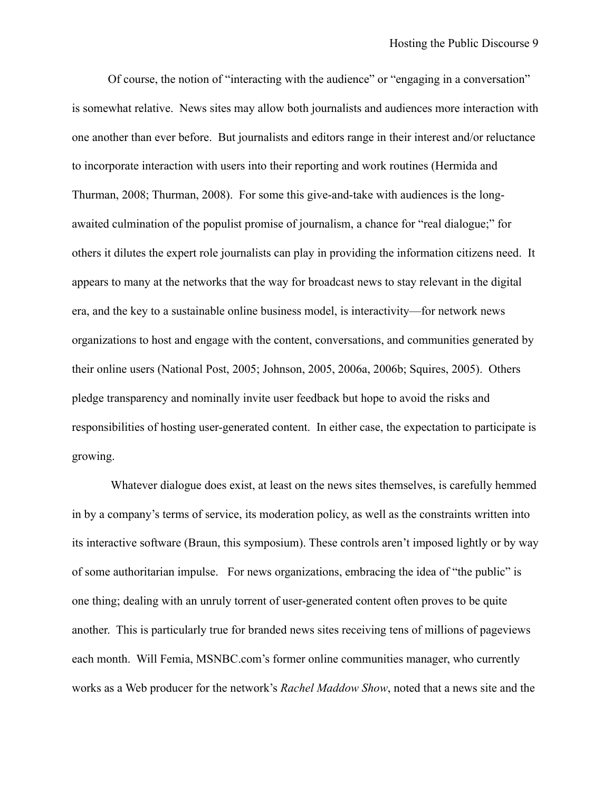Of course, the notion of "interacting with the audience" or "engaging in a conversation" is somewhat relative. News sites may allow both journalists and audiences more interaction with one another than ever before. But journalists and editors range in their interest and/or reluctance to incorporate interaction with users into their reporting and work routines (Hermida and Thurman, 2008; Thurman, 2008). For some this give-and-take with audiences is the longawaited culmination of the populist promise of journalism, a chance for "real dialogue;" for others it dilutes the expert role journalists can play in providing the information citizens need. It appears to many at the networks that the way for broadcast news to stay relevant in the digital era, and the key to a sustainable online business model, is interactivity—for network news organizations to host and engage with the content, conversations, and communities generated by their online users (National Post, 2005; Johnson, 2005, 2006a, 2006b; Squires, 2005). Others pledge transparency and nominally invite user feedback but hope to avoid the risks and responsibilities of hosting user-generated content. In either case, the expectation to participate is growing.

 Whatever dialogue does exist, at least on the news sites themselves, is carefully hemmed in by a company's terms of service, its moderation policy, as well as the constraints written into its interactive software (Braun, this symposium). These controls aren't imposed lightly or by way of some authoritarian impulse. For news organizations, embracing the idea of "the public" is one thing; dealing with an unruly torrent of user-generated content often proves to be quite another. This is particularly true for branded news sites receiving tens of millions of pageviews each month. Will Femia, MSNBC.com's former online communities manager, who currently works as a Web producer for the network's *Rachel Maddow Show*, noted that a news site and the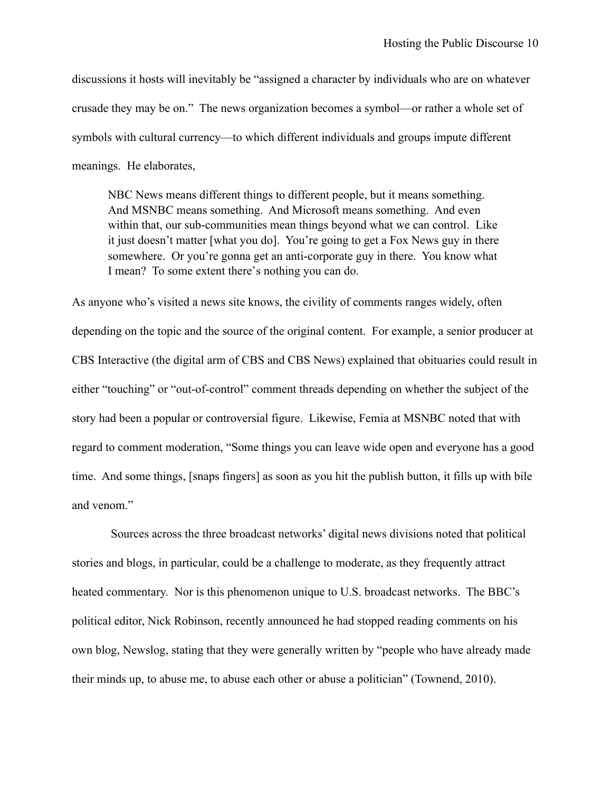discussions it hosts will inevitably be "assigned a character by individuals who are on whatever crusade they may be on." The news organization becomes a symbol—or rather a whole set of symbols with cultural currency—to which different individuals and groups impute different meanings. He elaborates,

NBC News means different things to different people, but it means something. And MSNBC means something. And Microsoft means something. And even within that, our sub-communities mean things beyond what we can control. Like it just doesn't matter [what you do]. You're going to get a Fox News guy in there somewhere. Or you're gonna get an anti-corporate guy in there. You know what I mean? To some extent there's nothing you can do.

As anyone who's visited a news site knows, the civility of comments ranges widely, often depending on the topic and the source of the original content. For example, a senior producer at CBS Interactive (the digital arm of CBS and CBS News) explained that obituaries could result in either "touching" or "out-of-control" comment threads depending on whether the subject of the story had been a popular or controversial figure. Likewise, Femia at MSNBC noted that with regard to comment moderation, "Some things you can leave wide open and everyone has a good time. And some things, [snaps fingers] as soon as you hit the publish button, it fills up with bile and venom."

 Sources across the three broadcast networks' digital news divisions noted that political stories and blogs, in particular, could be a challenge to moderate, as they frequently attract heated commentary. Nor is this phenomenon unique to U.S. broadcast networks. The BBC's political editor, Nick Robinson, recently announced he had stopped reading comments on his own blog, Newslog, stating that they were generally written by "people who have already made their minds up, to abuse me, to abuse each other or abuse a politician" (Townend, 2010).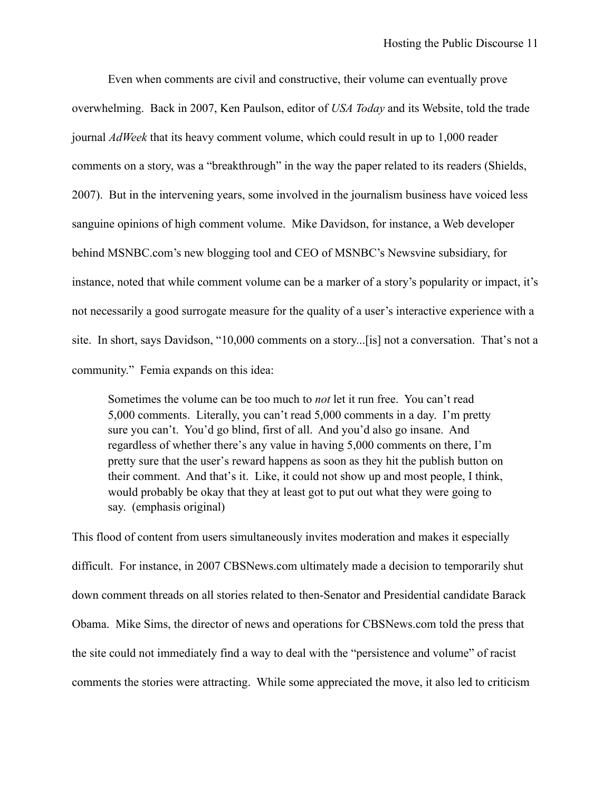Even when comments are civil and constructive, their volume can eventually prove overwhelming. Back in 2007, Ken Paulson, editor of *USA Today* and its Website, told the trade journal *AdWeek* that its heavy comment volume, which could result in up to 1,000 reader comments on a story, was a "breakthrough" in the way the paper related to its readers (Shields, 2007). But in the intervening years, some involved in the journalism business have voiced less sanguine opinions of high comment volume. Mike Davidson, for instance, a Web developer behind MSNBC.com's new blogging tool and CEO of MSNBC's Newsvine subsidiary, for instance, noted that while comment volume can be a marker of a story's popularity or impact, it's not necessarily a good surrogate measure for the quality of a user's interactive experience with a site. In short, says Davidson, "10,000 comments on a story...[is] not a conversation. That's not a community." Femia expands on this idea:

Sometimes the volume can be too much to *not* let it run free. You can't read 5,000 comments. Literally, you can't read 5,000 comments in a day. I'm pretty sure you can't. You'd go blind, first of all. And you'd also go insane. And regardless of whether there's any value in having 5,000 comments on there, I'm pretty sure that the user's reward happens as soon as they hit the publish button on their comment. And that's it. Like, it could not show up and most people, I think, would probably be okay that they at least got to put out what they were going to say. (emphasis original)

This flood of content from users simultaneously invites moderation and makes it especially difficult. For instance, in 2007 CBSNews.com ultimately made a decision to temporarily shut down comment threads on all stories related to then-Senator and Presidential candidate Barack Obama. Mike Sims, the director of news and operations for CBSNews.com told the press that the site could not immediately find a way to deal with the "persistence and volume" of racist comments the stories were attracting. While some appreciated the move, it also led to criticism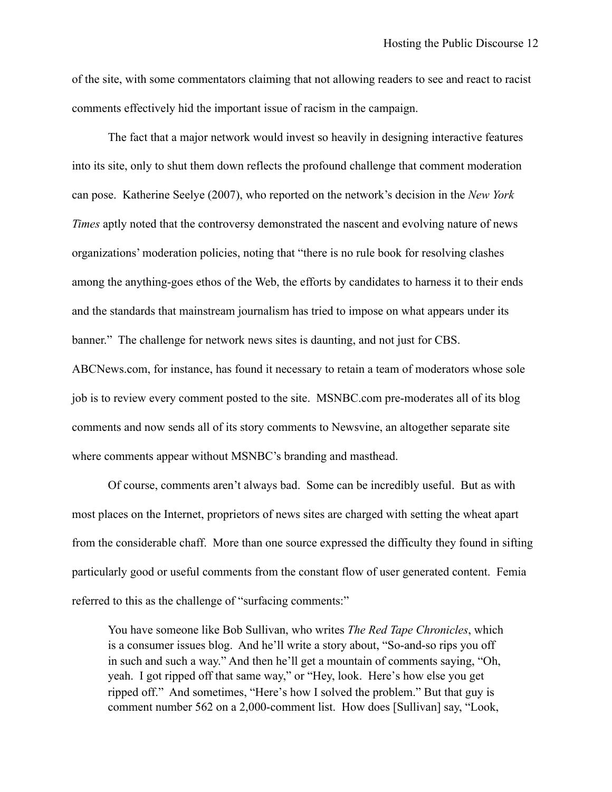of the site, with some commentators claiming that not allowing readers to see and react to racist comments effectively hid the important issue of racism in the campaign.

The fact that a major network would invest so heavily in designing interactive features into its site, only to shut them down reflects the profound challenge that comment moderation can pose. Katherine Seelye (2007), who reported on the network's decision in the *New York Times* aptly noted that the controversy demonstrated the nascent and evolving nature of news organizations' moderation policies, noting that "there is no rule book for resolving clashes among the anything-goes ethos of the Web, the efforts by candidates to harness it to their ends and the standards that mainstream journalism has tried to impose on what appears under its banner." The challenge for network news sites is daunting, and not just for CBS. ABCNews.com, for instance, has found it necessary to retain a team of moderators whose sole job is to review every comment posted to the site. MSNBC.com pre-moderates all of its blog comments and now sends all of its story comments to Newsvine, an altogether separate site where comments appear without MSNBC's branding and masthead.

 Of course, comments aren't always bad. Some can be incredibly useful. But as with most places on the Internet, proprietors of news sites are charged with setting the wheat apart from the considerable chaff. More than one source expressed the difficulty they found in sifting particularly good or useful comments from the constant flow of user generated content. Femia referred to this as the challenge of "surfacing comments:"

You have someone like Bob Sullivan, who writes *The Red Tape Chronicles*, which is a consumer issues blog. And he'll write a story about, "So-and-so rips you off in such and such a way." And then he'll get a mountain of comments saying, "Oh, yeah. I got ripped off that same way," or "Hey, look. Here's how else you get ripped off." And sometimes, "Here's how I solved the problem." But that guy is comment number 562 on a 2,000-comment list. How does [Sullivan] say, "Look,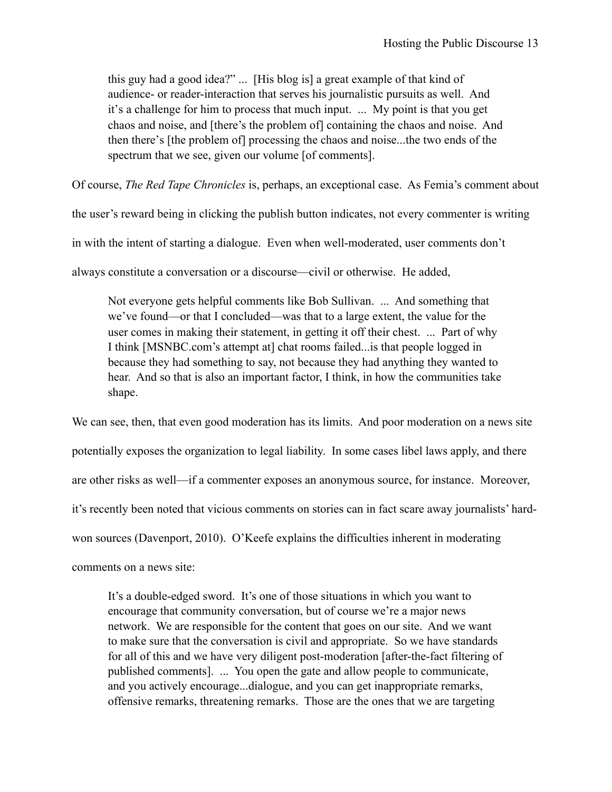this guy had a good idea?" ... [His blog is] a great example of that kind of audience- or reader-interaction that serves his journalistic pursuits as well. And it's a challenge for him to process that much input. ... My point is that you get chaos and noise, and [there's the problem of] containing the chaos and noise. And then there's [the problem of] processing the chaos and noise...the two ends of the spectrum that we see, given our volume [of comments].

Of course, *The Red Tape Chronicles* is, perhaps, an exceptional case. As Femia's comment about

the user's reward being in clicking the publish button indicates, not every commenter is writing in with the intent of starting a dialogue. Even when well-moderated, user comments don't always constitute a conversation or a discourse—civil or otherwise. He added,

Not everyone gets helpful comments like Bob Sullivan. ... And something that we've found—or that I concluded—was that to a large extent, the value for the user comes in making their statement, in getting it off their chest. ... Part of why I think [MSNBC.com's attempt at] chat rooms failed...is that people logged in because they had something to say, not because they had anything they wanted to hear. And so that is also an important factor, I think, in how the communities take shape.

We can see, then, that even good moderation has its limits. And poor moderation on a news site potentially exposes the organization to legal liability. In some cases libel laws apply, and there are other risks as well—if a commenter exposes an anonymous source, for instance. Moreover, it's recently been noted that vicious comments on stories can in fact scare away journalists' hardwon sources (Davenport, 2010). O'Keefe explains the difficulties inherent in moderating comments on a news site:

It's a double-edged sword. It's one of those situations in which you want to encourage that community conversation, but of course we're a major news network. We are responsible for the content that goes on our site. And we want to make sure that the conversation is civil and appropriate. So we have standards for all of this and we have very diligent post-moderation [after-the-fact filtering of published comments]. ... You open the gate and allow people to communicate, and you actively encourage...dialogue, and you can get inappropriate remarks, offensive remarks, threatening remarks. Those are the ones that we are targeting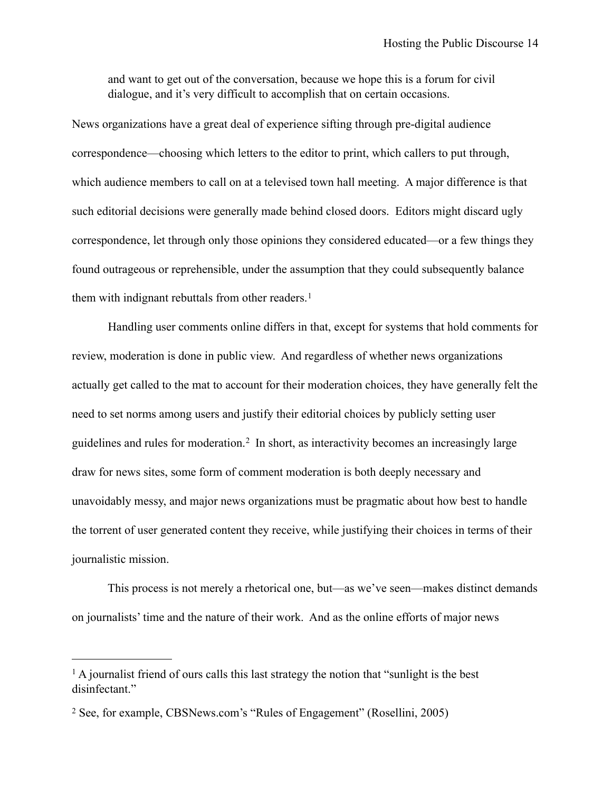and want to get out of the conversation, because we hope this is a forum for civil dialogue, and it's very difficult to accomplish that on certain occasions.

News organizations have a great deal of experience sifting through pre-digital audience correspondence—choosing which letters to the editor to print, which callers to put through, which audience members to call on at a televised town hall meeting. A major difference is that such editorial decisions were generally made behind closed doors. Editors might discard ugly correspondence, let through only those opinions they considered educated—or a few things they found outrageous or reprehensible, under the assumption that they could subsequently balance them with indignant rebuttals from other readers.<sup>[1](#page-13-0)</sup>

 Handling user comments online differs in that, except for systems that hold comments for review, moderation is done in public view. And regardless of whether news organizations actually get called to the mat to account for their moderation choices, they have generally felt the need to set norms among users and justify their editorial choices by publicly setting user guidelines and rules for moderation.[2](#page-13-1) In short, as interactivity becomes an increasingly large draw for news sites, some form of comment moderation is both deeply necessary and unavoidably messy, and major news organizations must be pragmatic about how best to handle the torrent of user generated content they receive, while justifying their choices in terms of their journalistic mission.

 This process is not merely a rhetorical one, but—as we've seen—makes distinct demands on journalists' time and the nature of their work. And as the online efforts of major news

<span id="page-13-0"></span><sup>&</sup>lt;sup>1</sup> A journalist friend of ours calls this last strategy the notion that "sunlight is the best" disinfectant."

<span id="page-13-1"></span><sup>2</sup> See, for example, CBSNews.com's "Rules of Engagement" (Rosellini, 2005)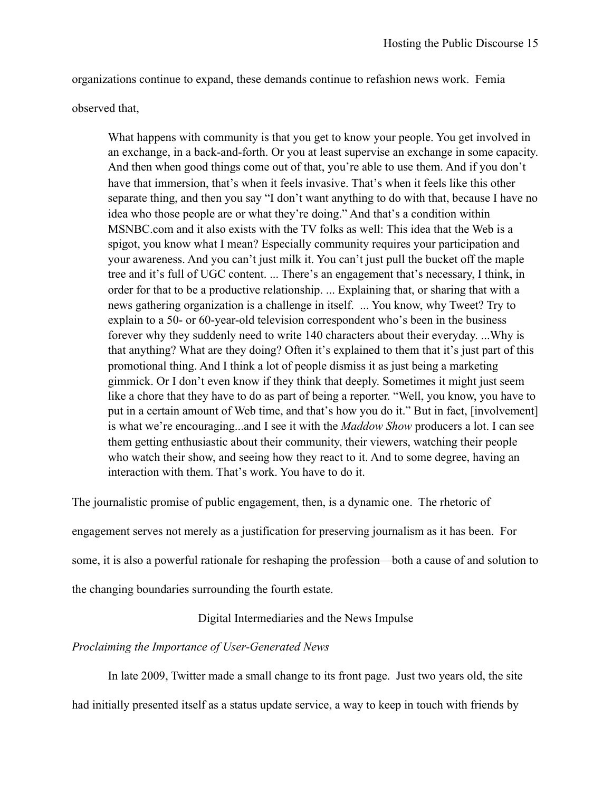organizations continue to expand, these demands continue to refashion news work. Femia

observed that,

What happens with community is that you get to know your people. You get involved in an exchange, in a back-and-forth. Or you at least supervise an exchange in some capacity. And then when good things come out of that, you're able to use them. And if you don't have that immersion, that's when it feels invasive. That's when it feels like this other separate thing, and then you say "I don't want anything to do with that, because I have no idea who those people are or what they're doing." And that's a condition within MSNBC.com and it also exists with the TV folks as well: This idea that the Web is a spigot, you know what I mean? Especially community requires your participation and your awareness. And you can't just milk it. You can't just pull the bucket off the maple tree and it's full of UGC content. ... There's an engagement that's necessary, I think, in order for that to be a productive relationship. ... Explaining that, or sharing that with a news gathering organization is a challenge in itself. ... You know, why Tweet? Try to explain to a 50- or 60-year-old television correspondent who's been in the business forever why they suddenly need to write 140 characters about their everyday. ...Why is that anything? What are they doing? Often it's explained to them that it's just part of this promotional thing. And I think a lot of people dismiss it as just being a marketing gimmick. Or I don't even know if they think that deeply. Sometimes it might just seem like a chore that they have to do as part of being a reporter. "Well, you know, you have to put in a certain amount of Web time, and that's how you do it." But in fact, [involvement] is what we're encouraging...and I see it with the *Maddow Show* producers a lot. I can see them getting enthusiastic about their community, their viewers, watching their people who watch their show, and seeing how they react to it. And to some degree, having an interaction with them. That's work. You have to do it.

The journalistic promise of public engagement, then, is a dynamic one. The rhetoric of

engagement serves not merely as a justification for preserving journalism as it has been. For

some, it is also a powerful rationale for reshaping the profession—both a cause of and solution to

the changing boundaries surrounding the fourth estate.

### Digital Intermediaries and the News Impulse

### *Proclaiming the Importance of User-Generated News*

In late 2009, Twitter made a small change to its front page. Just two years old, the site

had initially presented itself as a status update service, a way to keep in touch with friends by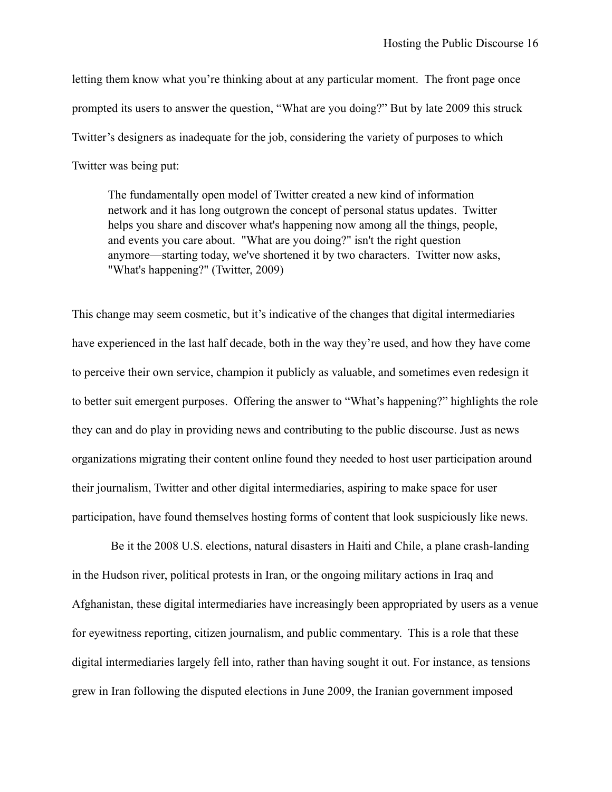letting them know what you're thinking about at any particular moment. The front page once prompted its users to answer the question, "What are you doing?" But by late 2009 this struck Twitter's designers as inadequate for the job, considering the variety of purposes to which Twitter was being put:

The fundamentally open model of Twitter created a new kind of information network and it has long outgrown the concept of personal status updates. Twitter helps you share and discover what's happening now among all the things, people, and events you care about. "What are you doing?" isn't the right question anymore—starting today, we've shortened it by two characters. Twitter now asks, "What's happening?" (Twitter, 2009)

This change may seem cosmetic, but it's indicative of the changes that digital intermediaries have experienced in the last half decade, both in the way they're used, and how they have come to perceive their own service, champion it publicly as valuable, and sometimes even redesign it to better suit emergent purposes. Offering the answer to "What's happening?" highlights the role they can and do play in providing news and contributing to the public discourse. Just as news organizations migrating their content online found they needed to host user participation around their journalism, Twitter and other digital intermediaries, aspiring to make space for user participation, have found themselves hosting forms of content that look suspiciously like news.

 Be it the 2008 U.S. elections, natural disasters in Haiti and Chile, a plane crash-landing in the Hudson river, political protests in Iran, or the ongoing military actions in Iraq and Afghanistan, these digital intermediaries have increasingly been appropriated by users as a venue for eyewitness reporting, citizen journalism, and public commentary. This is a role that these digital intermediaries largely fell into, rather than having sought it out. For instance, as tensions grew in Iran following the disputed elections in June 2009, the Iranian government imposed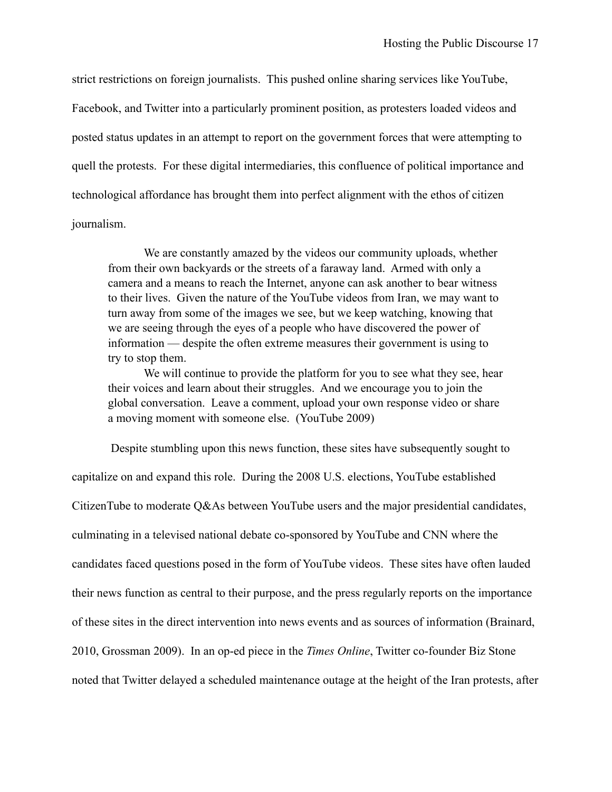strict restrictions on foreign journalists. This pushed online sharing services like YouTube, Facebook, and Twitter into a particularly prominent position, as protesters loaded videos and posted status updates in an attempt to report on the government forces that were attempting to quell the protests. For these digital intermediaries, this confluence of political importance and technological affordance has brought them into perfect alignment with the ethos of citizen journalism.

We are constantly amazed by the videos our community uploads, whether from their own backyards or the streets of a faraway land. Armed with only a camera and a means to reach the Internet, anyone can ask another to bear witness to their lives. Given the nature of the YouTube videos from Iran, we may want to turn away from some of the images we see, but we keep watching, knowing that we are seeing through the eyes of a people who have discovered the power of information — despite the often extreme measures their government is using to try to stop them.

We will continue to provide the platform for you to see what they see, hear their voices and learn about their struggles. And we encourage you to join the global conversation. Leave a comment, upload your own response video or share a moving moment with someone else. (YouTube 2009)

 Despite stumbling upon this news function, these sites have subsequently sought to capitalize on and expand this role. During the 2008 U.S. elections, YouTube established CitizenTube to moderate Q&As between YouTube users and the major presidential candidates, culminating in a televised national debate co-sponsored by YouTube and CNN where the candidates faced questions posed in the form of YouTube videos. These sites have often lauded their news function as central to their purpose, and the press regularly reports on the importance of these sites in the direct intervention into news events and as sources of information (Brainard, 2010, Grossman 2009). In an op-ed piece in the *Times Online*, Twitter co-founder Biz Stone noted that Twitter delayed a scheduled maintenance outage at the height of the Iran protests, after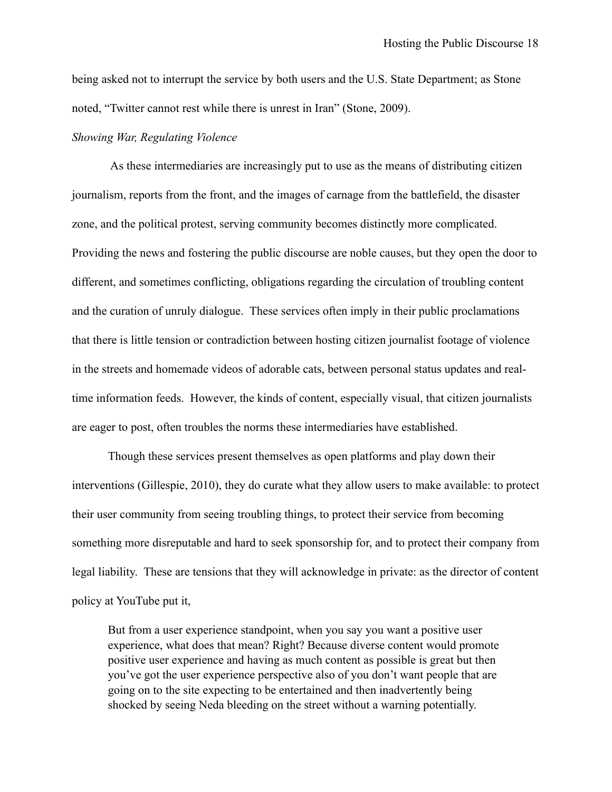being asked not to interrupt the service by both users and the U.S. State Department; as Stone noted, "Twitter cannot rest while there is unrest in Iran" (Stone, 2009).

#### *Showing War, Regulating Violence*

 As these intermediaries are increasingly put to use as the means of distributing citizen journalism, reports from the front, and the images of carnage from the battlefield, the disaster zone, and the political protest, serving community becomes distinctly more complicated. Providing the news and fostering the public discourse are noble causes, but they open the door to different, and sometimes conflicting, obligations regarding the circulation of troubling content and the curation of unruly dialogue. These services often imply in their public proclamations that there is little tension or contradiction between hosting citizen journalist footage of violence in the streets and homemade videos of adorable cats, between personal status updates and realtime information feeds. However, the kinds of content, especially visual, that citizen journalists are eager to post, often troubles the norms these intermediaries have established.

Though these services present themselves as open platforms and play down their interventions (Gillespie, 2010), they do curate what they allow users to make available: to protect their user community from seeing troubling things, to protect their service from becoming something more disreputable and hard to seek sponsorship for, and to protect their company from legal liability. These are tensions that they will acknowledge in private: as the director of content policy at YouTube put it,

But from a user experience standpoint, when you say you want a positive user experience, what does that mean? Right? Because diverse content would promote positive user experience and having as much content as possible is great but then you've got the user experience perspective also of you don't want people that are going on to the site expecting to be entertained and then inadvertently being shocked by seeing Neda bleeding on the street without a warning potentially.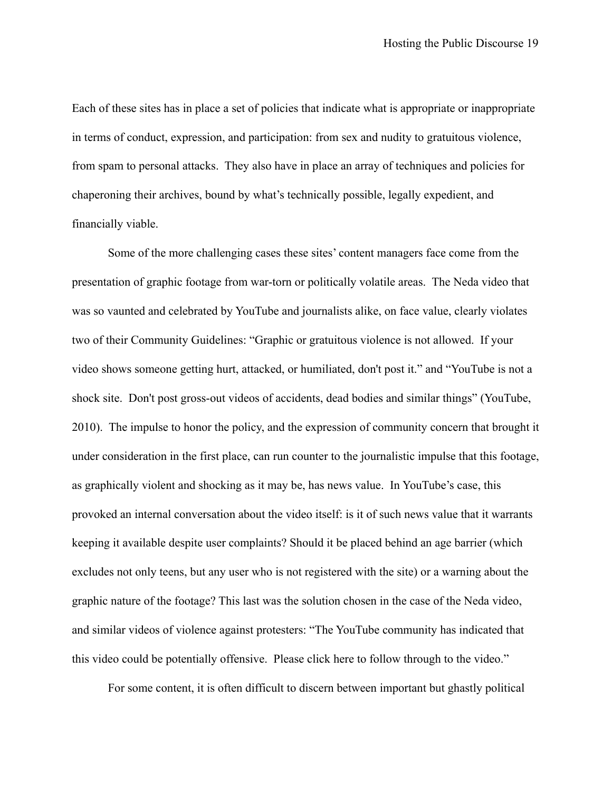Each of these sites has in place a set of policies that indicate what is appropriate or inappropriate in terms of conduct, expression, and participation: from sex and nudity to gratuitous violence, from spam to personal attacks. They also have in place an array of techniques and policies for chaperoning their archives, bound by what's technically possible, legally expedient, and financially viable.

 Some of the more challenging cases these sites' content managers face come from the presentation of graphic footage from war-torn or politically volatile areas. The Neda video that was so vaunted and celebrated by YouTube and journalists alike, on face value, clearly violates two of their Community Guidelines: "Graphic or gratuitous violence is not allowed. If your video shows someone getting hurt, attacked, or humiliated, don't post it." and "YouTube is not a shock site. Don't post gross-out videos of accidents, dead bodies and similar things" (YouTube, 2010). The impulse to honor the policy, and the expression of community concern that brought it under consideration in the first place, can run counter to the journalistic impulse that this footage, as graphically violent and shocking as it may be, has news value. In YouTube's case, this provoked an internal conversation about the video itself: is it of such news value that it warrants keeping it available despite user complaints? Should it be placed behind an age barrier (which excludes not only teens, but any user who is not registered with the site) or a warning about the graphic nature of the footage? This last was the solution chosen in the case of the Neda video, and similar videos of violence against protesters: "The YouTube community has indicated that this video could be potentially offensive. Please click here to follow through to the video."

For some content, it is often difficult to discern between important but ghastly political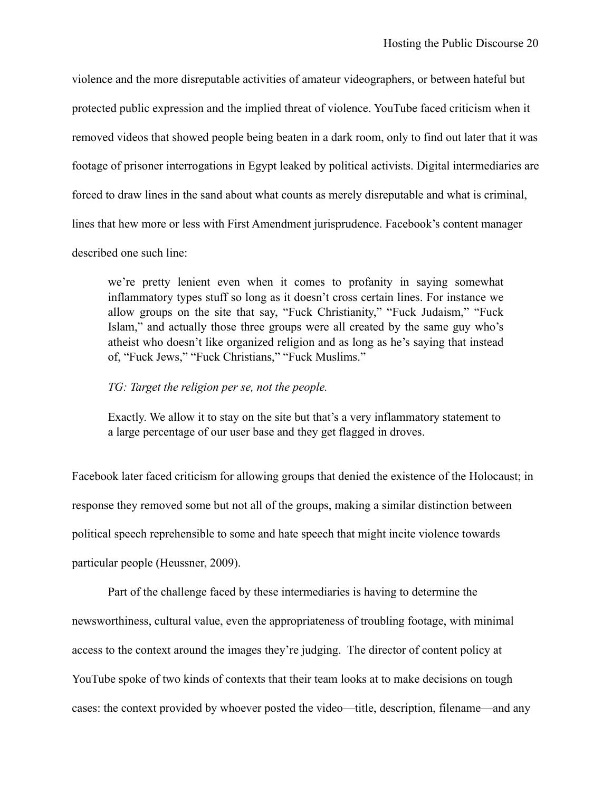violence and the more disreputable activities of amateur videographers, or between hateful but protected public expression and the implied threat of violence. YouTube faced criticism when it removed videos that showed people being beaten in a dark room, only to find out later that it was footage of prisoner interrogations in Egypt leaked by political activists. Digital intermediaries are forced to draw lines in the sand about what counts as merely disreputable and what is criminal, lines that hew more or less with First Amendment jurisprudence. Facebook's content manager described one such line:

we're pretty lenient even when it comes to profanity in saying somewhat inflammatory types stuff so long as it doesn't cross certain lines. For instance we allow groups on the site that say, "Fuck Christianity," "Fuck Judaism," "Fuck Islam," and actually those three groups were all created by the same guy who's atheist who doesn't like organized religion and as long as he's saying that instead of, "Fuck Jews," "Fuck Christians," "Fuck Muslims."

#### *TG: Target the religion per se, not the people.*

Exactly. We allow it to stay on the site but that's a very inflammatory statement to a large percentage of our user base and they get flagged in droves.

Facebook later faced criticism for allowing groups that denied the existence of the Holocaust; in response they removed some but not all of the groups, making a similar distinction between political speech reprehensible to some and hate speech that might incite violence towards particular people (Heussner, 2009).

 Part of the challenge faced by these intermediaries is having to determine the newsworthiness, cultural value, even the appropriateness of troubling footage, with minimal access to the context around the images they're judging. The director of content policy at YouTube spoke of two kinds of contexts that their team looks at to make decisions on tough cases: the context provided by whoever posted the video—title, description, filename—and any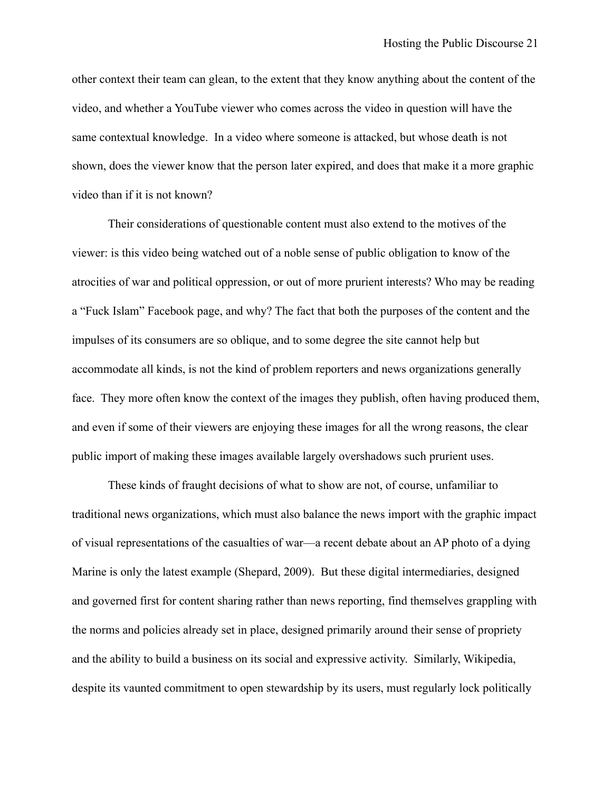other context their team can glean, to the extent that they know anything about the content of the video, and whether a YouTube viewer who comes across the video in question will have the same contextual knowledge. In a video where someone is attacked, but whose death is not shown, does the viewer know that the person later expired, and does that make it a more graphic video than if it is not known?

Their considerations of questionable content must also extend to the motives of the viewer: is this video being watched out of a noble sense of public obligation to know of the atrocities of war and political oppression, or out of more prurient interests? Who may be reading a "Fuck Islam" Facebook page, and why? The fact that both the purposes of the content and the impulses of its consumers are so oblique, and to some degree the site cannot help but accommodate all kinds, is not the kind of problem reporters and news organizations generally face. They more often know the context of the images they publish, often having produced them, and even if some of their viewers are enjoying these images for all the wrong reasons, the clear public import of making these images available largely overshadows such prurient uses.

These kinds of fraught decisions of what to show are not, of course, unfamiliar to traditional news organizations, which must also balance the news import with the graphic impact of visual representations of the casualties of war—a recent debate about an AP photo of a dying Marine is only the latest example (Shepard, 2009). But these digital intermediaries, designed and governed first for content sharing rather than news reporting, find themselves grappling with the norms and policies already set in place, designed primarily around their sense of propriety and the ability to build a business on its social and expressive activity. Similarly, Wikipedia, despite its vaunted commitment to open stewardship by its users, must regularly lock politically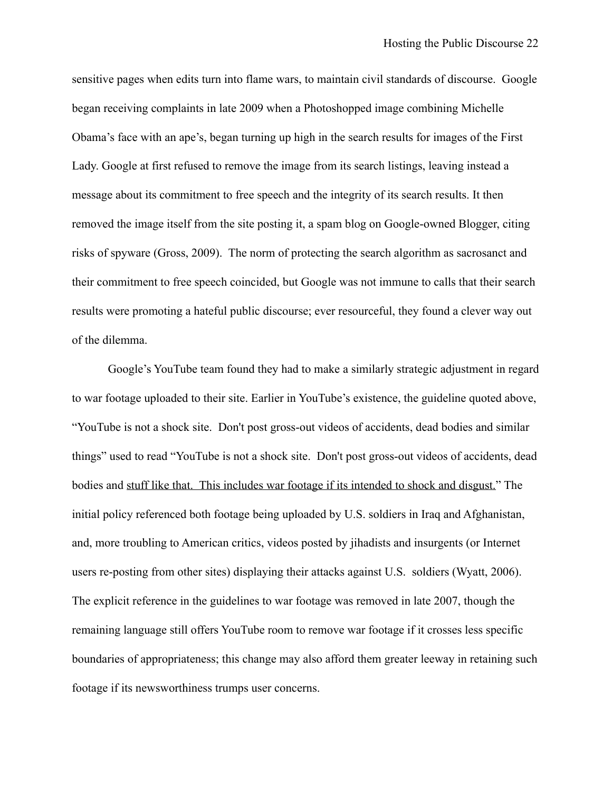sensitive pages when edits turn into flame wars, to maintain civil standards of discourse. Google began receiving complaints in late 2009 when a Photoshopped image combining Michelle Obama's face with an ape's, began turning up high in the search results for images of the First Lady. Google at first refused to remove the image from its search listings, leaving instead a message about its commitment to free speech and the integrity of its search results. It then removed the image itself from the site posting it, a spam blog on Google-owned Blogger, citing risks of spyware (Gross, 2009). The norm of protecting the search algorithm as sacrosanct and their commitment to free speech coincided, but Google was not immune to calls that their search results were promoting a hateful public discourse; ever resourceful, they found a clever way out of the dilemma.

Google's YouTube team found they had to make a similarly strategic adjustment in regard to war footage uploaded to their site. Earlier in YouTube's existence, the guideline quoted above, "YouTube is not a shock site. Don't post gross-out videos of accidents, dead bodies and similar things" used to read "YouTube is not a shock site. Don't post gross-out videos of accidents, dead bodies and stuff like that. This includes war footage if its intended to shock and disgust." The initial policy referenced both footage being uploaded by U.S. soldiers in Iraq and Afghanistan, and, more troubling to American critics, videos posted by jihadists and insurgents (or Internet users re-posting from other sites) displaying their attacks against U.S. soldiers (Wyatt, 2006). The explicit reference in the guidelines to war footage was removed in late 2007, though the remaining language still offers YouTube room to remove war footage if it crosses less specific boundaries of appropriateness; this change may also afford them greater leeway in retaining such footage if its newsworthiness trumps user concerns.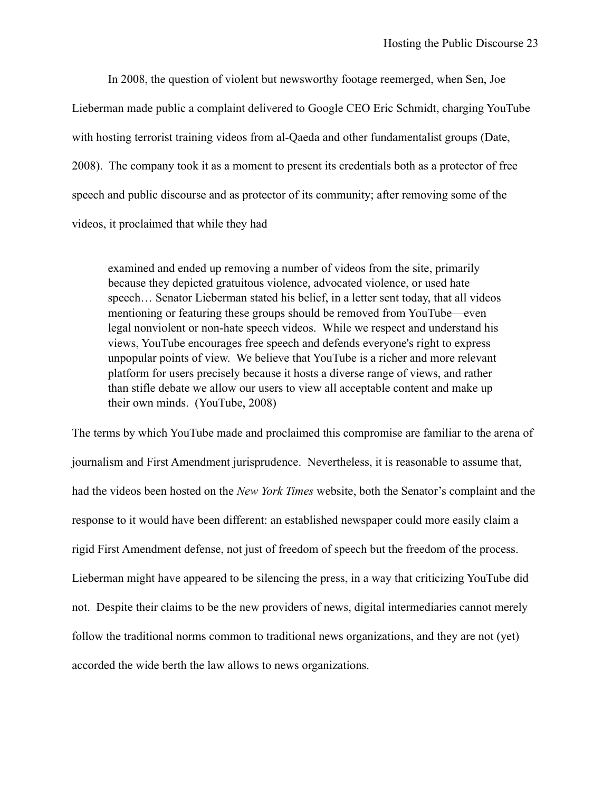In 2008, the question of violent but newsworthy footage reemerged, when Sen, Joe Lieberman made public a complaint delivered to Google CEO Eric Schmidt, charging YouTube with hosting terrorist training videos from al-Qaeda and other fundamentalist groups (Date, 2008). The company took it as a moment to present its credentials both as a protector of free speech and public discourse and as protector of its community; after removing some of the videos, it proclaimed that while they had

examined and ended up removing a number of videos from the site, primarily because they depicted gratuitous violence, advocated violence, or used hate speech… Senator Lieberman stated his belief, in a letter sent today, that all videos mentioning or featuring these groups should be removed from YouTube—even legal nonviolent or non-hate speech videos. While we respect and understand his views, YouTube encourages free speech and defends everyone's right to express unpopular points of view. We believe that YouTube is a richer and more relevant platform for users precisely because it hosts a diverse range of views, and rather than stifle debate we allow our users to view all acceptable content and make up their own minds. (YouTube, 2008)

The terms by which YouTube made and proclaimed this compromise are familiar to the arena of journalism and First Amendment jurisprudence. Nevertheless, it is reasonable to assume that, had the videos been hosted on the *New York Times* website, both the Senator's complaint and the response to it would have been different: an established newspaper could more easily claim a rigid First Amendment defense, not just of freedom of speech but the freedom of the process. Lieberman might have appeared to be silencing the press, in a way that criticizing YouTube did not. Despite their claims to be the new providers of news, digital intermediaries cannot merely follow the traditional norms common to traditional news organizations, and they are not (yet) accorded the wide berth the law allows to news organizations.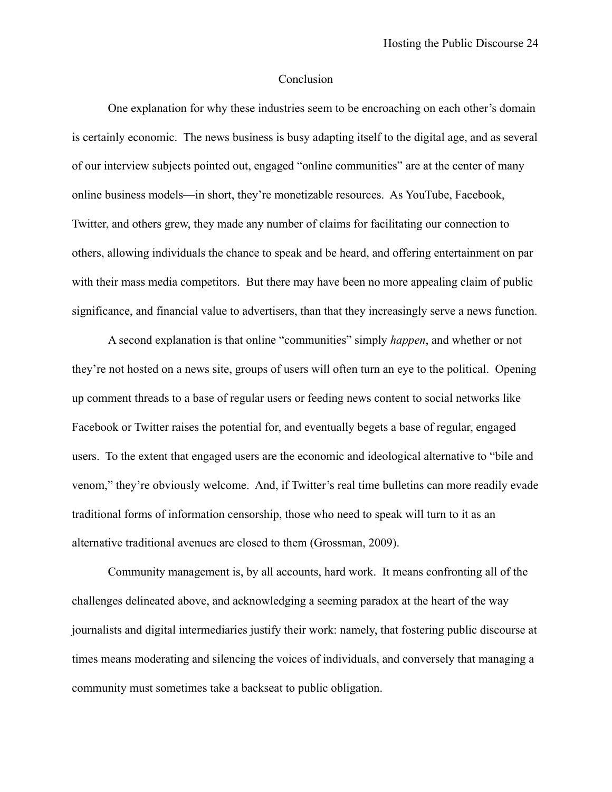### Conclusion

One explanation for why these industries seem to be encroaching on each other's domain is certainly economic. The news business is busy adapting itself to the digital age, and as several of our interview subjects pointed out, engaged "online communities" are at the center of many online business models—in short, they're monetizable resources. As YouTube, Facebook, Twitter, and others grew, they made any number of claims for facilitating our connection to others, allowing individuals the chance to speak and be heard, and offering entertainment on par with their mass media competitors. But there may have been no more appealing claim of public significance, and financial value to advertisers, than that they increasingly serve a news function.

A second explanation is that online "communities" simply *happen*, and whether or not they're not hosted on a news site, groups of users will often turn an eye to the political. Opening up comment threads to a base of regular users or feeding news content to social networks like Facebook or Twitter raises the potential for, and eventually begets a base of regular, engaged users. To the extent that engaged users are the economic and ideological alternative to "bile and venom," they're obviously welcome. And, if Twitter's real time bulletins can more readily evade traditional forms of information censorship, those who need to speak will turn to it as an alternative traditional avenues are closed to them (Grossman, 2009).

 Community management is, by all accounts, hard work. It means confronting all of the challenges delineated above, and acknowledging a seeming paradox at the heart of the way journalists and digital intermediaries justify their work: namely, that fostering public discourse at times means moderating and silencing the voices of individuals, and conversely that managing a community must sometimes take a backseat to public obligation.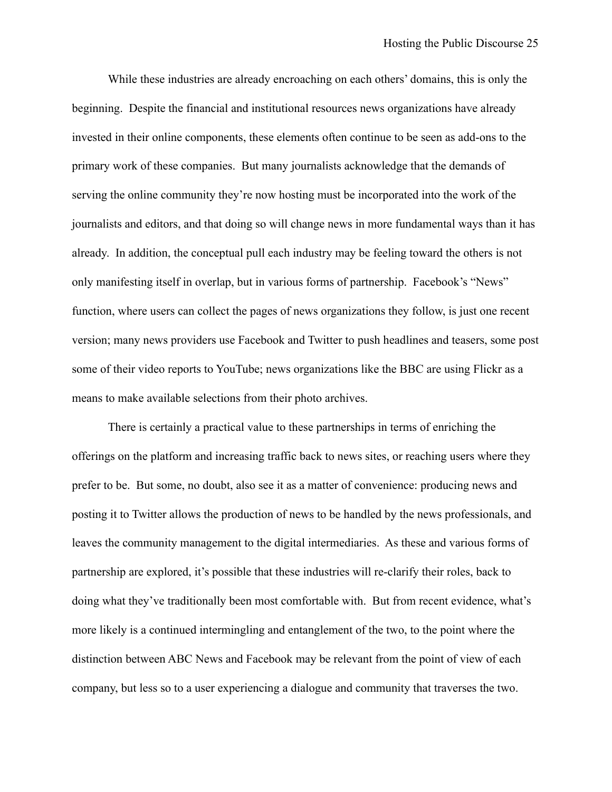While these industries are already encroaching on each others' domains, this is only the beginning. Despite the financial and institutional resources news organizations have already invested in their online components, these elements often continue to be seen as add-ons to the primary work of these companies. But many journalists acknowledge that the demands of serving the online community they're now hosting must be incorporated into the work of the journalists and editors, and that doing so will change news in more fundamental ways than it has already. In addition, the conceptual pull each industry may be feeling toward the others is not only manifesting itself in overlap, but in various forms of partnership. Facebook's "News" function, where users can collect the pages of news organizations they follow, is just one recent version; many news providers use Facebook and Twitter to push headlines and teasers, some post some of their video reports to YouTube; news organizations like the BBC are using Flickr as a means to make available selections from their photo archives.

There is certainly a practical value to these partnerships in terms of enriching the offerings on the platform and increasing traffic back to news sites, or reaching users where they prefer to be. But some, no doubt, also see it as a matter of convenience: producing news and posting it to Twitter allows the production of news to be handled by the news professionals, and leaves the community management to the digital intermediaries. As these and various forms of partnership are explored, it's possible that these industries will re-clarify their roles, back to doing what they've traditionally been most comfortable with. But from recent evidence, what's more likely is a continued intermingling and entanglement of the two, to the point where the distinction between ABC News and Facebook may be relevant from the point of view of each company, but less so to a user experiencing a dialogue and community that traverses the two.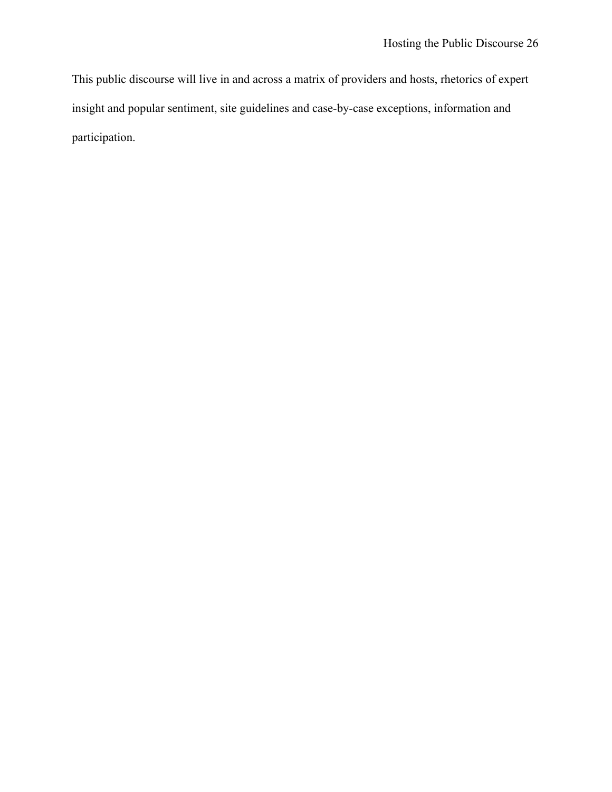This public discourse will live in and across a matrix of providers and hosts, rhetorics of expert insight and popular sentiment, site guidelines and case-by-case exceptions, information and participation.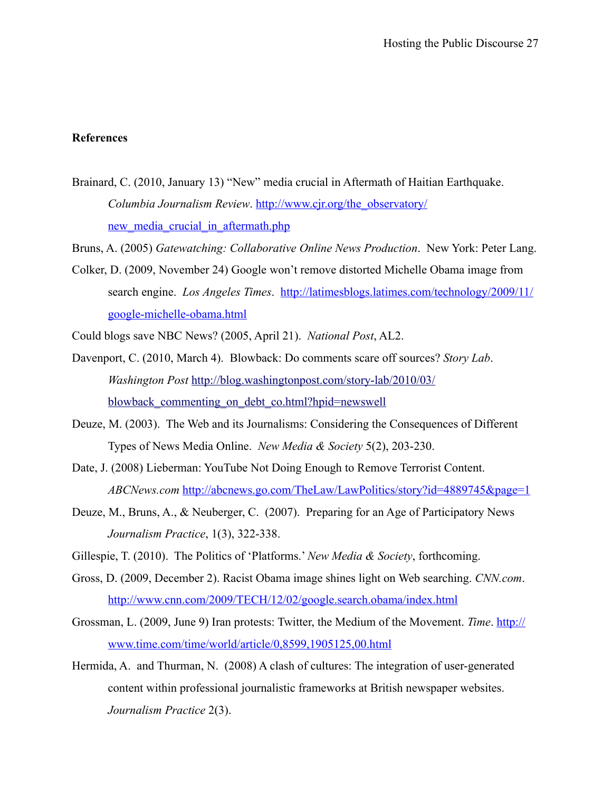## **References**

Brainard, C. (2010, January 13) "New" media crucial in Aftermath of Haitian Earthquake. *Columbia Journalism Review*. [http://www.cjr.org/the\\_observatory/](http://www.cjr.org/the_observatory/new_media_crucial_in_aftermath.php) new media crucial in aftermath.php

Bruns, A. (2005) *Gatewatching: Collaborative Online News Production*. New York: Peter Lang.

- Colker, D. (2009, November 24) Google won't remove distorted Michelle Obama image from search engine. *Los Angeles Times*. [http://latimesblogs.latimes.com/technology/2009/11/](http://latimesblogs.latimes.com/technology/2009/11/google-michelle-obama.html) [google-michelle-obama.html](http://latimesblogs.latimes.com/technology/2009/11/google-michelle-obama.html)
- Could blogs save NBC News? (2005, April 21). *National Post*, AL2.
- Davenport, C. (2010, March 4). Blowback: Do comments scare off sources? *Story Lab*. *Washington Post* [http://blog.washingtonpost.com/story-lab/2010/03/](http://blog.washingtonpost.com/story-lab/2010/03/blowback_commenting_on_debt_co.html?hpid=newswell) blowback commenting on debt co.html?hpid=newswell
- Deuze, M. (2003). The Web and its Journalisms: Considering the Consequences of Different Types of News Media Online. *New Media & Society* 5(2), 203-230.
- Date, J. (2008) Lieberman: YouTube Not Doing Enough to Remove Terrorist Content. *ABCNews.com* <http://abcnews.go.com/TheLaw/LawPolitics/story?id=4889745&page=1>
- Deuze, M., Bruns, A., & Neuberger, C. (2007). Preparing for an Age of Participatory News *Journalism Practice*, 1(3), 322-338.
- Gillespie, T. (2010). The Politics of 'Platforms.' *New Media & Society*, forthcoming.
- Gross, D. (2009, December 2). Racist Obama image shines light on Web searching. *CNN.com*. <http://www.cnn.com/2009/TECH/12/02/google.search.obama/index.html>
- Grossman, L. (2009, June 9) Iran protests: Twitter, the Medium of the Movement. *Time*. [http://](http://www.time.com/time/world/article/0,8599,1905125,00.html) [www.time.com/time/world/article/0,8599,1905125,00.html](http://www.time.com/time/world/article/0,8599,1905125,00.html)
- Hermida, A. and Thurman, N. (2008) A clash of cultures: The integration of user-generated content within professional journalistic frameworks at British newspaper websites. *Journalism Practice* 2(3).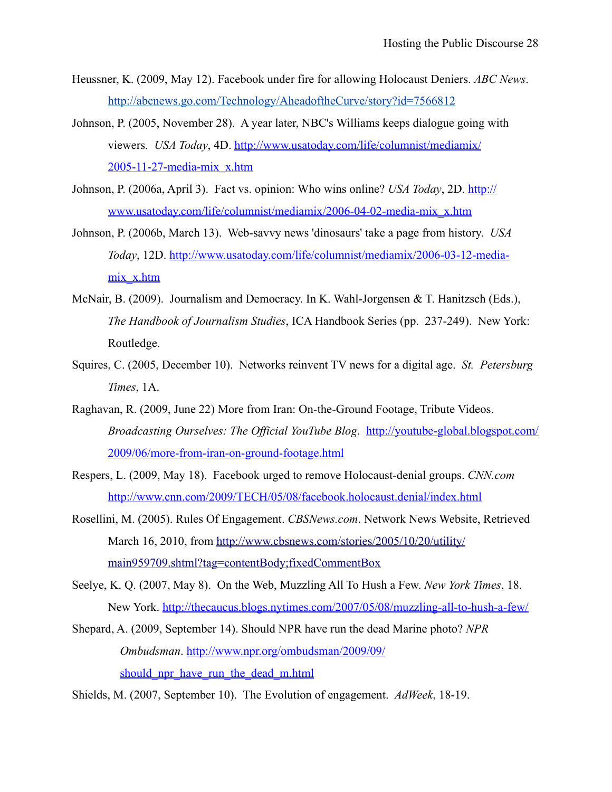- Heussner, K. (2009, May 12). Facebook under fire for allowing Holocaust Deniers. *ABC News*. http://abcnews.go.com/Technology/AheadoftheCurve/story?id=7566812
- Johnson, P. (2005, November 28). A year later, NBC's Williams keeps dialogue going with viewers. *USA Today*, 4D. [http://www.usatoday.com/life/columnist/mediamix/](http://www.usatoday.com/life/columnist/mediamix/2005-11-27-media-mix_x.htm) [2005-11-27-media-mix\\_x.htm](http://www.usatoday.com/life/columnist/mediamix/2005-11-27-media-mix_x.htm)
- Johnson, P. (2006a, April 3). Fact vs. opinion: Who wins online? *USA Today*, 2D. [http://](http://www.usatoday.com/life/columnist/mediamix/2006-04-02-media-mix_x.htm) [www.usatoday.com/life/columnist/mediamix/2006-04-02-media-mix\\_x.htm](http://www.usatoday.com/life/columnist/mediamix/2006-04-02-media-mix_x.htm)
- Johnson, P. (2006b, March 13). Web-savvy news 'dinosaurs' take a page from history. *USA Today*, 12D. [http://www.usatoday.com/life/columnist/mediamix/2006-03-12-media](http://www.usatoday.com/life/columnist/mediamix/2006-03-12-media-mix_x.htm)[mix\\_x.htm](http://www.usatoday.com/life/columnist/mediamix/2006-03-12-media-mix_x.htm)
- McNair, B. (2009). Journalism and Democracy. In K. Wahl-Jorgensen & T. Hanitzsch (Eds.), *The Handbook of Journalism Studies*, ICA Handbook Series (pp. 237-249). New York: Routledge.
- Squires, C. (2005, December 10). Networks reinvent TV news for a digital age. *St. Petersburg Times*, 1A.
- Raghavan, R. (2009, June 22) More from Iran: On-the-Ground Footage, Tribute Videos. *Broadcasting Ourselves: The Official YouTube Blog*. [http://youtube-global.blogspot.com/](http://youtube-global.blogspot.com/2009/06/more-from-iran-on-ground-footage.html) [2009/06/more-from-iran-on-ground-footage.html](http://youtube-global.blogspot.com/2009/06/more-from-iran-on-ground-footage.html)
- Respers, L. (2009, May 18). Facebook urged to remove Holocaust-denial groups. *CNN.com*  <http://www.cnn.com/2009/TECH/05/08/facebook.holocaust.denial/index.html>
- Rosellini, M. (2005). Rules Of Engagement. *CBSNews.com*. Network News Website, Retrieved March 16, 2010, from [http://www.cbsnews.com/stories/2005/10/20/utility/](http://www.cbsnews.com/stories/2005/10/20/utility/main959709.shtml?tag=contentBody;fixedCommentBox) [main959709.shtml?tag=contentBody;fixedCommentBox](http://www.cbsnews.com/stories/2005/10/20/utility/main959709.shtml?tag=contentBody;fixedCommentBox)
- Seelye, K. Q. (2007, May 8). On the Web, Muzzling All To Hush a Few. *New York Times*, 18. New York. <http://thecaucus.blogs.nytimes.com/2007/05/08/muzzling-all-to-hush-a-few/>
- Shepard, A. (2009, September 14). Should NPR have run the dead Marine photo? *NPR Ombudsman*. [http://www.npr.org/ombudsman/2009/09/](http://www.npr.org/ombudsman/2009/09/should_npr_have_run_the_dead_m.html) should npr have run the dead m.html
- Shields, M. (2007, September 10). The Evolution of engagement. *AdWeek*, 18-19.